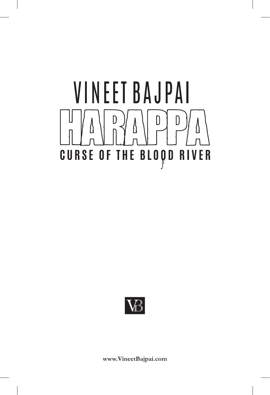



**www.VineetBajpai.com**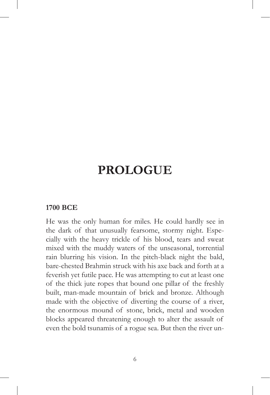# **PROLOGUE**

#### **1700 BCE**

He was the only human for miles. He could hardly see in the dark of that unusually fearsome, stormy night. Especially with the heavy trickle of his blood, tears and sweat mixed with the muddy waters of the unseasonal, torrential rain blurring his vision. In the pitch-black night the bald, bare-chested Brahmin struck with his axe back and forth at a feverish yet futile pace. He was attempting to cut at least one of the thick jute ropes that bound one pillar of the freshly built, man-made mountain of brick and bronze. Although made with the objective of diverting the course of a river, the enormous mound of stone, brick, metal and wooden blocks appeared threatening enough to alter the assault of even the bold tsunamis of a rogue sea. But then the river un-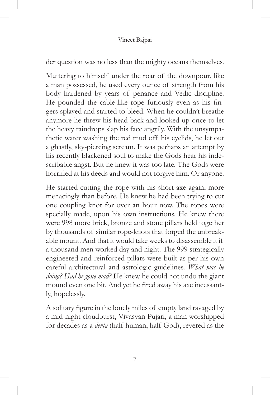der question was no less than the mighty oceans themselves.

Muttering to himself under the roar of the downpour, like a man possessed, he used every ounce of strength from his body hardened by years of penance and Vedic discipline. He pounded the cable-like rope furiously even as his fingers splayed and started to bleed. When he couldn't breathe anymore he threw his head back and looked up once to let the heavy raindrops slap his face angrily. With the unsympathetic water washing the red mud off his eyelids, he let out a ghastly, sky-piercing scream. It was perhaps an attempt by his recently blackened soul to make the Gods hear his indescribable angst. But he knew it was too late. The Gods were horrified at his deeds and would not forgive him. Or anyone.

He started cutting the rope with his short axe again, more menacingly than before. He knew he had been trying to cut one coupling knot for over an hour now. The ropes were specially made, upon his own instructions. He knew there were 998 more brick, bronze and stone pillars held together by thousands of similar rope-knots that forged the unbreakable mount. And that it would take weeks to disassemble it if a thousand men worked day and night. The 999 strategically engineered and reinforced pillars were built as per his own careful architectural and astrologic guidelines. *What was he doing? Had he gone mad?* He knew he could not undo the giant mound even one bit. And yet he fired away his axe incessantly, hopelessly.

A solitary figure in the lonely miles of empty land ravaged by a mid-night cloudburst, Vivasvan Pujari, a man worshipped for decades as a *devta* (half-human, half-God), revered as the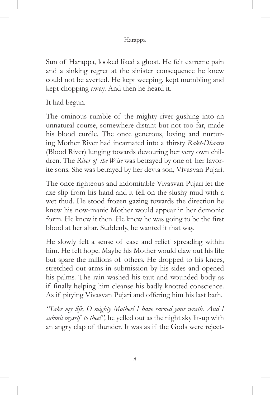Sun of Harappa, looked liked a ghost. He felt extreme pain and a sinking regret at the sinister consequence he knew could not be averted. He kept weeping, kept mumbling and kept chopping away. And then he heard it.

It had begun.

The ominous rumble of the mighty river gushing into an unnatural course, somewhere distant but not too far, made his blood curdle. The once generous, loving and nurturing Mother River had incarnated into a thirsty *Rakt-Dhaara* (Blood River) lunging towards devouring her very own children. The *River of the Wise* was betrayed by one of her favorite sons. She was betrayed by her devta son, Vivasvan Pujari.

The once righteous and indomitable Vivasvan Pujari let the axe slip from his hand and it fell on the slushy mud with a wet thud. He stood frozen gazing towards the direction he knew his now-manic Mother would appear in her demonic form. He knew it then. He knew he was going to be the first blood at her altar. Suddenly, he wanted it that way.

He slowly felt a sense of ease and relief spreading within him. He felt hope. Maybe his Mother would claw out his life but spare the millions of others. He dropped to his knees, stretched out arms in submission by his sides and opened his palms. The rain washed his taut and wounded body as if finally helping him cleanse his badly knotted conscience. As if pitying Vivasvan Pujari and offering him his last bath.

*"Take my life, O mighty Mother! I have earned your wrath. And I submit myself to thee!",* he yelled out as the night sky lit-up with an angry clap of thunder. It was as if the Gods were reject-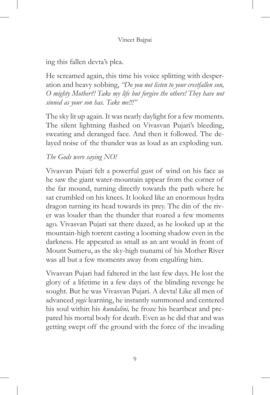ing this fallen devta's plea.

He screamed again, this time his voice splitting with desperation and heavy sobbing, *"Do you not listen to your crestfallen son, O mighty Mother?! Take my life but forgive the others! They have not sinned as your son has. Take me!!!"* 

The sky lit up again. It was nearly daylight for a few moments. The silent lightning flashed on Vivasvan Pujari's bleeding, sweating and deranged face. And then it followed. The delayed noise of the thunder was as loud as an exploding sun.

#### *The Gods were saying NO!*

Vivasvan Pujari felt a powerful gust of wind on his face as he saw the giant water-mountain appear from the corner of the far mound, turning directly towards the path where he sat crumbled on his knees. It looked like an enormous hydra dragon turning its head towards its prey. The din of the river was louder than the thunder that roared a few moments ago. Vivasvan Pujari sat there dazed, as he looked up at the mountain-high torrent casting a looming shadow even in the darkness. He appeared as small as an ant would in front of Mount Sumeru, as the sky-high tsunami of his Mother River was all but a few moments away from engulfing him.

Vivasvan Pujari had faltered in the last few days. He lost the glory of a lifetime in a few days of the blinding revenge he sought. But he was Vivasvan Pujari. A devta! Like all men of advanced *yogic* learning, he instantly summoned and centered his soul within his *kundalini,* he froze his heartbeat and prepared his mortal body for death. Even as he did that and was getting swept off the ground with the force of the invading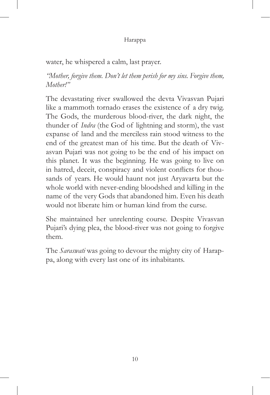water, he whispered a calm, last prayer.

*"Mother, forgive them. Don't let them perish for my sins. Forgive them, Mother!"*

The devastating river swallowed the devta Vivasvan Pujari like a mammoth tornado erases the existence of a dry twig. The Gods, the murderous blood-river, the dark night, the thunder of *Indra* (the God of lightning and storm), the vast expanse of land and the merciless rain stood witness to the end of the greatest man of his time. But the death of Vivasvan Pujari was not going to be the end of his impact on this planet. It was the beginning. He was going to live on in hatred, deceit, conspiracy and violent conflicts for thousands of years. He would haunt not just Aryavarta but the whole world with never-ending bloodshed and killing in the name of the very Gods that abandoned him. Even his death would not liberate him or human kind from the curse.

She maintained her unrelenting course. Despite Vivasvan Pujari's dying plea, the blood-river was not going to forgive them.

The *Saraswati* was going to devour the mighty city of Harappa, along with every last one of its inhabitants.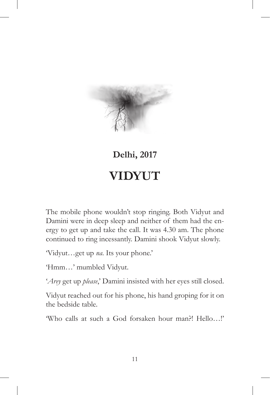

# **Delhi, 2017 VIDYUT**

The mobile phone wouldn't stop ringing. Both Vidyut and Damini were in deep sleep and neither of them had the energy to get up and take the call. It was 4.30 am. The phone continued to ring incessantly. Damini shook Vidyut slowly.

'Vidyut…get up *na*. Its your phone.'

'Hmm…' mumbled Vidyut.

'*Arey* get up *please*,' Damini insisted with her eyes still closed.

Vidyut reached out for his phone, his hand groping for it on the bedside table.

'Who calls at such a God forsaken hour man?! Hello*…*!'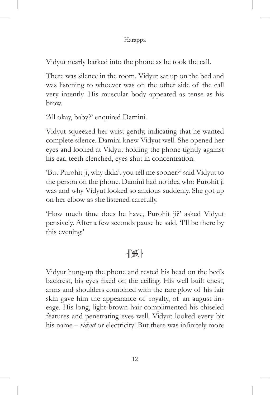Vidyut nearly barked into the phone as he took the call.

There was silence in the room. Vidyut sat up on the bed and was listening to whoever was on the other side of the call very intently. His muscular body appeared as tense as his brow.

'All okay, baby?' enquired Damini.

Vidyut squeezed her wrist gently, indicating that he wanted complete silence. Damini knew Vidyut well. She opened her eyes and looked at Vidyut holding the phone tightly against his ear, teeth clenched, eyes shut in concentration.

'But Purohit ji, why didn't you tell me sooner?' said Vidyut to the person on the phone. Damini had no idea who Purohit ji was and why Vidyut looked so anxious suddenly. She got up on her elbow as she listened carefully.

'How much time does he have, Purohit ji?' asked Vidyut pensively. After a few seconds pause he said, 'I'll be there by this evening.'

# $\| \mathbf{H} \|$

Vidyut hung-up the phone and rested his head on the bed's backrest, his eyes fixed on the ceiling. His well built chest, arms and shoulders combined with the rare glow of his fair skin gave him the appearance of royalty, of an august lineage. His long, light-brown hair complimented his chiseled features and penetrating eyes well. Vidyut looked every bit his name – *vidyut* or electricity! But there was infinitely more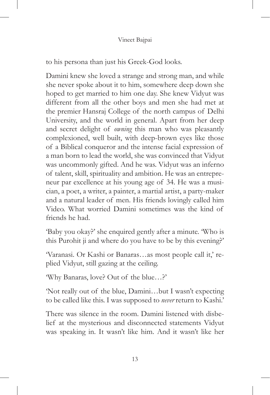to his persona than just his Greek-God looks.

Damini knew she loved a strange and strong man, and while she never spoke about it to him, somewhere deep down she hoped to get married to him one day. She knew Vidyut was different from all the other boys and men she had met at the premier Hansraj College of the north campus of Delhi University, and the world in general. Apart from her deep and secret delight of *owning* this man who was pleasantly complexioned, well built, with deep-brown eyes like those of a Biblical conqueror and the intense facial expression of a man born to lead the world, she was convinced that Vidyut was uncommonly gifted. And he was. Vidyut was an inferno of talent, skill, spirituality and ambition. He was an entrepreneur par excellence at his young age of 34. He was a musician, a poet, a writer, a painter, a martial artist, a party-maker and a natural leader of men. His friends lovingly called him Video. What worried Damini sometimes was the kind of friends he had.

'Baby you okay?' she enquired gently after a minute. 'Who is this Purohit ji and where do you have to be by this evening?'

'Varanasi. Or Kashi or Banaras…as most people call it,' replied Vidyut, still gazing at the ceiling.

'Why Banaras, love? Out of the blue…?'

'Not really out of the blue, Damini…but I wasn't expecting to be called like this. I was supposed to *never* return to Kashi.'

There was silence in the room. Damini listened with disbelief at the mysterious and disconnected statements Vidyut was speaking in. It wasn't like him. And it wasn't like her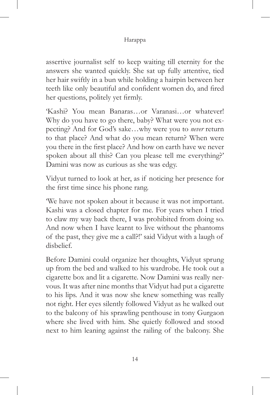assertive journalist self to keep waiting till eternity for the answers she wanted quickly. She sat up fully attentive, tied her hair swiftly in a bun while holding a hairpin between her teeth like only beautiful and confident women do, and fired her questions, politely yet firmly.

'Kashi? You mean Banaras…or Varanasi…or whatever! Why do you have to go there, baby? What were you not expecting? And for God's sake…why were you to *never* return to that place? And what do you mean return? When were you there in the first place? And how on earth have we never spoken about all this? Can you please tell me everything?' Damini was now as curious as she was edgy.

Vidyut turned to look at her, as if noticing her presence for the first time since his phone rang.

'We have not spoken about it because it was not important. Kashi was a closed chapter for me. For years when I tried to claw my way back there, I was prohibited from doing so. And now when I have learnt to live without the phantoms of the past, they give me a call?!' said Vidyut with a laugh of disbelief.

Before Damini could organize her thoughts, Vidyut sprung up from the bed and walked to his wardrobe. He took out a cigarette box and lit a cigarette. Now Damini was really nervous. It was after nine months that Vidyut had put a cigarette to his lips. And it was now she knew something was really not right. Her eyes silently followed Vidyut as he walked out to the balcony of his sprawling penthouse in tony Gurgaon where she lived with him. She quietly followed and stood next to him leaning against the railing of the balcony. She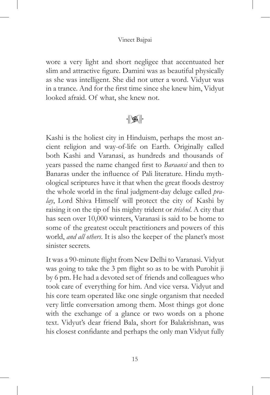wore a very light and short negligee that accentuated her slim and attractive figure. Damini was as beautiful physically as she was intelligent. She did not utter a word. Vidyut was in a trance. And for the first time since she knew him, Vidyut looked afraid. Of what, she knew not.

## $\|\mathbf{H}\|$

Kashi is the holiest city in Hinduism, perhaps the most ancient religion and way-of-life on Earth. Originally called both Kashi and Varanasi, as hundreds and thousands of years passed the name changed first to *Baraansi* and then to Banaras under the influence of Pali literature. Hindu mythological scriptures have it that when the great floods destroy the whole world in the final judgment-day deluge called *pralay*, Lord Shiva Himself will protect the city of Kashi by raising it on the tip of his mighty trident or *trishul*. A city that has seen over 10,000 winters, Varanasi is said to be home to some of the greatest occult practitioners and powers of this world, *and all others*. It is also the keeper of the planet's most sinister secrets.

It was a 90-minute flight from New Delhi to Varanasi. Vidyut was going to take the 3 pm flight so as to be with Purohit ji by 6 pm. He had a devoted set of friends and colleagues who took care of everything for him. And vice versa. Vidyut and his core team operated like one single organism that needed very little conversation among them. Most things got done with the exchange of a glance or two words on a phone text. Vidyut's dear friend Bala, short for Balakrishnan, was his closest confidante and perhaps the only man Vidyut fully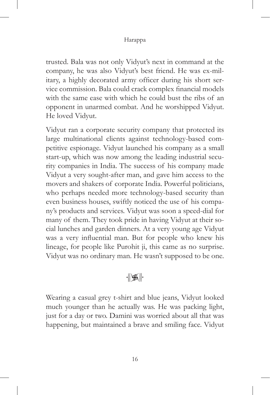trusted. Bala was not only Vidyut's next in command at the company, he was also Vidyut's best friend. He was ex-military, a highly decorated army officer during his short service commission. Bala could crack complex financial models with the same ease with which he could bust the ribs of an opponent in unarmed combat. And he worshipped Vidyut. He loved Vidyut.

Vidyut ran a corporate security company that protected its large multinational clients against technology-based competitive espionage. Vidyut launched his company as a small start-up, which was now among the leading industrial security companies in India. The success of his company made Vidyut a very sought-after man, and gave him access to the movers and shakers of corporate India. Powerful politicians, who perhaps needed more technology-based security than even business houses, swiftly noticed the use of his company's products and services. Vidyut was soon a speed-dial for many of them. They took pride in having Vidyut at their social lunches and garden dinners. At a very young age Vidyut was a very influential man. But for people who knew his lineage, for people like Purohit ji, this came as no surprise. Vidyut was no ordinary man. He wasn't supposed to be one.

### $\| \mathbf{H} \|$

Wearing a casual grey t-shirt and blue jeans, Vidyut looked much younger than he actually was. He was packing light, just for a day or two. Damini was worried about all that was happening, but maintained a brave and smiling face. Vidyut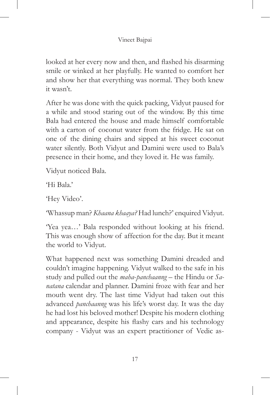looked at her every now and then, and flashed his disarming smile or winked at her playfully. He wanted to comfort her and show her that everything was normal. They both knew it wasn't.

After he was done with the quick packing, Vidyut paused for a while and stood staring out of the window. By this time Bala had entered the house and made himself comfortable with a carton of coconut water from the fridge. He sat on one of the dining chairs and sipped at his sweet coconut water silently. Both Vidyut and Damini were used to Bala's presence in their home, and they loved it. He was family.

Vidyut noticed Bala.

'Hi Bala.'

'Hey Video'.

'Whassup man? *Khaana khaaya?* Had lunch?' enquired Vidyut.

'Yea yea…' Bala responded without looking at his friend. This was enough show of affection for the day. But it meant the world to Vidyut.

What happened next was something Damini dreaded and couldn't imagine happening. Vidyut walked to the safe in his study and pulled out the *maha*-*panchaanng* – the Hindu or *Sanatana* calendar and planner. Damini froze with fear and her mouth went dry. The last time Vidyut had taken out this advanced *panchaanng* was his life's worst day. It was the day he had lost his beloved mother! Despite his modern clothing and appearance, despite his flashy cars and his technology company - Vidyut was an expert practitioner of Vedic as-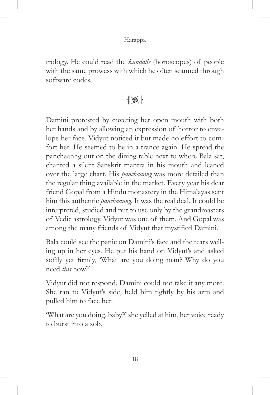trology. He could read the *kundalis* (horoscopes) of people with the same prowess with which he often scanned through software codes.

## $\| \mathbf{H} \|$

Damini protested by covering her open mouth with both her hands and by allowing an expression of horror to envelope her face. Vidyut noticed it but made no effort to comfort her. He seemed to be in a trance again. He spread the panchaanng out on the dining table next to where Bala sat, chanted a silent Sanskrit mantra in his mouth and leaned over the large chart. His *panchaanng* was more detailed than the regular thing available in the market. Every year his dear friend Gopal from a Hindu monastery in the Himalayas sent him this authentic *panchaanng*. It was the real deal. It could be interpreted, studied and put to use only by the grandmasters of Vedic astrology. Vidyut was one of them. And Gopal was among the many friends of Vidyut that mystified Damini.

Bala could see the panic on Damini's face and the tears welling up in her eyes. He put his hand on Vidyut's and asked softly yet firmly, 'What are you doing man? Why do you need *this* now?'

Vidyut did not respond. Damini could not take it any more. She ran to Vidyut's side, held him tightly by his arm and pulled him to face her.

'What are you doing, baby?' she yelled at him, her voice ready to burst into a sob.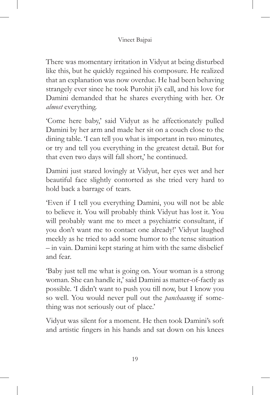There was momentary irritation in Vidyut at being disturbed like this, but he quickly regained his composure. He realized that an explanation was now overdue. He had been behaving strangely ever since he took Purohit ji's call, and his love for Damini demanded that he shares everything with her. Or *almost* everything.

'Come here baby,' said Vidyut as he affectionately pulled Damini by her arm and made her sit on a couch close to the dining table. 'I can tell you what is important in two minutes, or try and tell you everything in the greatest detail. But for that even two days will fall short,' he continued.

Damini just stared lovingly at Vidyut, her eyes wet and her beautiful face slightly contorted as she tried very hard to hold back a barrage of tears.

'Even if I tell you everything Damini, you will not be able to believe it. You will probably think Vidyut has lost it. You will probably want me to meet a psychiatric consultant, if you don't want me to contact one already!' Vidyut laughed meekly as he tried to add some humor to the tense situation – in vain. Damini kept staring at him with the same disbelief and fear.

'Baby just tell me what is going on. Your woman is a strong woman. She can handle it,' said Damini as matter-of-factly as possible. 'I didn't want to push you till now, but I know you so well. You would never pull out the *panchaanng* if something was not seriously out of place.'

Vidyut was silent for a moment. He then took Damini's soft and artistic fingers in his hands and sat down on his knees